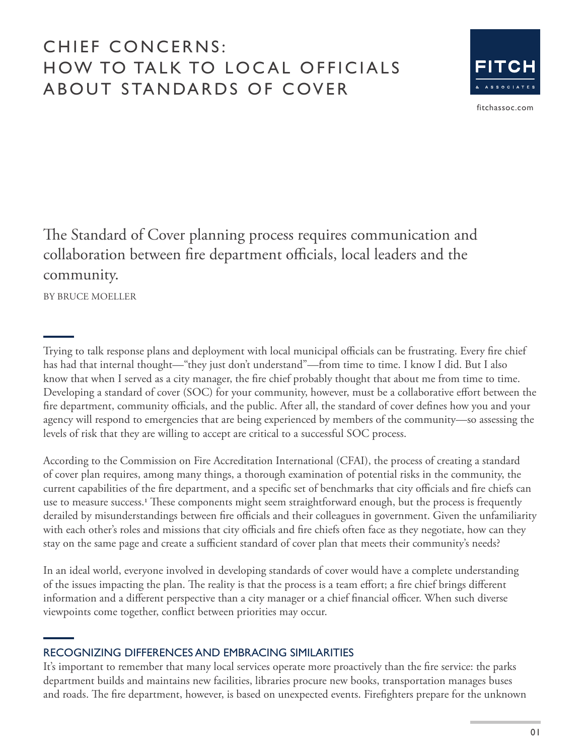# CHIEF CONCERNS: HOW TO TALK TO LOCAL OFFICIALS ABOUT STANDARDS OF COVER



[fitchassoc.com](http://www.fitchassoc.com)

The Standard of Cover planning process requires communication and collaboration between fire department officials, local leaders and the community.

BY BRUCE MOELLER

Trying to talk response plans and deployment with local municipal officials can be frustrating. Every fire chief has had that internal thought—"they just don't understand"—from time to time. I know I did. But I also know that when I served as a city manager, the fire chief probably thought that about me from time to time. Developing a standard of cover (SOC) for your community, however, must be a collaborative effort between the fire department, community officials, and the public. After all, the standard of cover defines how you and your agency will respond to emergencies that are being experienced by members of the community—so assessing the levels of risk that they are willing to accept are critical to a successful SOC process.

According to the Commission on Fire Accreditation International (CFAI), the process of creating a standard of cover plan requires, among many things, a thorough examination of potential risks in the community, the current capabilities of the fire department, and a specific set of benchmarks that city officials and fire chiefs can use to measure success.**1** These components might seem straightforward enough, but the process is frequently derailed by misunderstandings between fire officials and their colleagues in government. Given the unfamiliarity with each other's roles and missions that city officials and fire chiefs often face as they negotiate, how can they stay on the same page and create a sufficient standard of cover plan that meets their community's needs?

In an ideal world, everyone involved in developing standards of cover would have a complete understanding of the issues impacting the plan. The reality is that the process is a team effort; a fire chief brings different information and a different perspective than a city manager or a chief financial officer. When such diverse viewpoints come together, conflict between priorities may occur.

### RECOGNIZING DIFFERENCES AND EMBRACING SIMILARITIES

It's important to remember that many local services operate more proactively than the fire service: the parks department builds and maintains new facilities, libraries procure new books, transportation manages buses and roads. The fire department, however, is based on unexpected events. Firefighters prepare for the unknown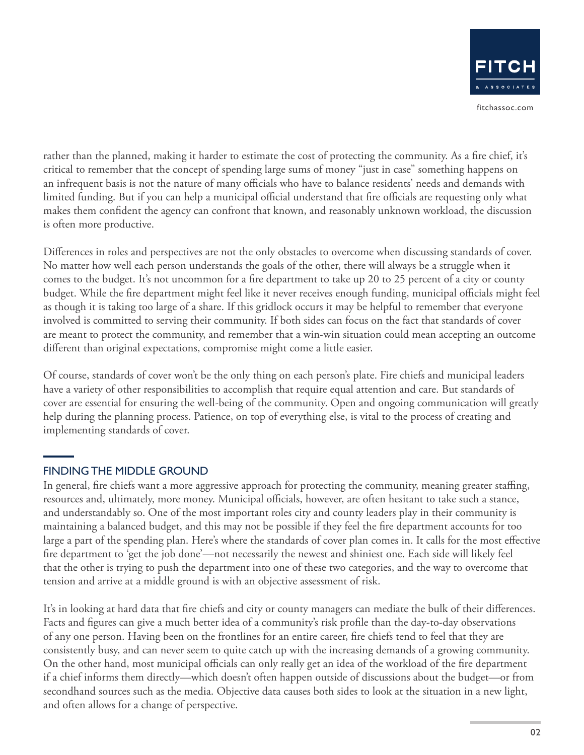rather than the planned, making it harder to estimate the cost of protecting the community. As a fire chief, it's critical to remember that the concept of spending large sums of money "just in case" something happens on an infrequent basis is not the nature of many officials who have to balance residents' needs and demands with limited funding. But if you can help a municipal official understand that fire officials are requesting only what makes them confident the agency can confront that known, and reasonably unknown workload, the discussion is often more productive.

Differences in roles and perspectives are not the only obstacles to overcome when discussing standards of cover. No matter how well each person understands the goals of the other, there will always be a struggle when it comes to the budget. It's not uncommon for a fire department to take up 20 to 25 percent of a city or county budget. While the fire department might feel like it never receives enough funding, municipal officials might feel as though it is taking too large of a share. If this gridlock occurs it may be helpful to remember that everyone involved is committed to serving their community. If both sides can focus on the fact that standards of cover are meant to protect the community, and remember that a win-win situation could mean accepting an outcome different than original expectations, compromise might come a little easier.

Of course, standards of cover won't be the only thing on each person's plate. Fire chiefs and municipal leaders have a variety of other responsibilities to accomplish that require equal attention and care. But standards of cover are essential for ensuring the well-being of the community. Open and ongoing communication will greatly help during the planning process. Patience, on top of everything else, is vital to the process of creating and implementing standards of cover.

# FINDING THE MIDDLE GROUND

In general, fire chiefs want a more aggressive approach for protecting the community, meaning greater staffing, resources and, ultimately, more money. Municipal officials, however, are often hesitant to take such a stance, and understandably so. One of the most important roles city and county leaders play in their community is maintaining a balanced budget, and this may not be possible if they feel the fire department accounts for too large a part of the spending plan. Here's where the standards of cover plan comes in. It calls for the most effective fire department to 'get the job done'—not necessarily the newest and shiniest one. Each side will likely feel that the other is trying to push the department into one of these two categories, and the way to overcome that tension and arrive at a middle ground is with an objective assessment of risk.

It's in looking at hard data that fire chiefs and city or county managers can mediate the bulk of their differences. Facts and figures can give a much better idea of a community's risk profile than the day-to-day observations of any one person. Having been on the frontlines for an entire career, fire chiefs tend to feel that they are consistently busy, and can never seem to quite catch up with the increasing demands of a growing community. On the other hand, most municipal officials can only really get an idea of the workload of the fire department if a chief informs them directly—which doesn't often happen outside of discussions about the budget—or from secondhand sources such as the media. Objective data causes both sides to look at the situation in a new light, and often allows for a change of perspective.